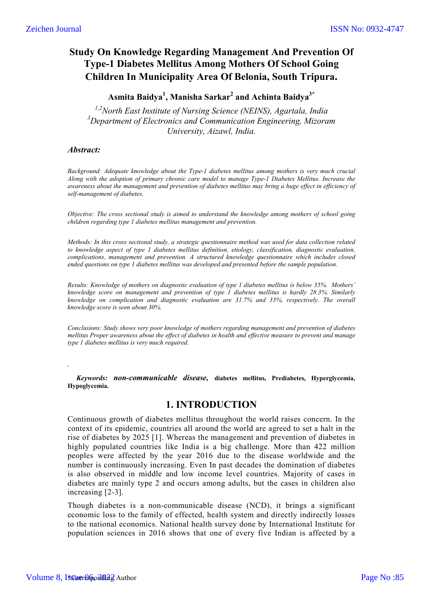# **Study On Knowledge Regarding Management And Prevention Of Type-1 Diabetes Mellitus Among Mothers Of School Going Children In Municipality Area Of Belonia, South Tripura.**

## **Asmita Baidya1 , Manisha Sarkar2 and Achinta Baidya3\***

*1,2North East Institute of Nursing Science (NEINS), Agartala, India 3 Department of Electronics and Communication Engineering, Mizoram University, Aizawl, India.*

#### *Abstract:*

*Background: Adequate knowledge about the Type-1 diabetes mellitus among mothers is very much crucial Along with the adoption of primary chronic care model to manage Type-1 Diabetes Mellitus. Increase the awareness about the management and prevention of diabetes mellitus may bring a huge effect in efficiency of self-management of diabetes.*

*Objective: The cross sectional study is aimed to understand the knowledge among mothers of school going children regarding type 1 diabetes mellitus management and prevention.* 

*Methods: In this cross sectional study, a strategic questionnaire method was used for data collection related to knowledge aspect of type 1 diabetes mellitus definition, etiology, classification, diagnostic evaluation, complications, management and prevention. A structured knowledge questionnaire which includes closed ended questions on type 1 diabetes mellitus was developed and presented before the sample population.* 

*Results: Knowledge of mothers on diagnostic evaluation of type 1 diabetes mellitus is below 35%. Mothers' knowledge score on management and prevention of type 1 diabetes mellitus is hardly 28.3%. Similarly knowledge on complication and diagnostic evaluation are 31.7% and 35%, respectively. The overall knowledge score is seen about 30%.* 

*Conclusions: Study shows very poor knowledge of mothers regarding management and prevention of diabetes mellitus Proper awareness about the effect of diabetes in health and effective measure to prevent and manage type 1 diabetes mellitus is very much required.*

*.*

*Keywords: non-communicable disease,* **diabetes mellitus, Prediabetes, Hyperglycemia, Hypoglycemia.**

## **1. INTRODUCTION**

Continuous growth of diabetes mellitus throughout the world raises concern. In the context of its epidemic, countries all around the world are agreed to set a halt in the rise of diabetes by 2025 [1]. Whereas the management and prevention of diabetes in highly populated countries like India is a big challenge. More than 422 million peoples were affected by the year 2016 due to the disease worldwide and the number is continuously increasing. Even In past decades the domination of diabetes is also observed in middle and low income level countries. Majority of cases in diabetes are mainly type 2 and occurs among adults, but the cases in children also increasing [2-3].

Though diabetes is a non-communicable disease (NCD), it brings a significant economic loss to the family of effected, health system and directly indirectly losses to the national economics. National health survey done by International Institute for population sciences in 2016 shows that one of every five Indian is affected by a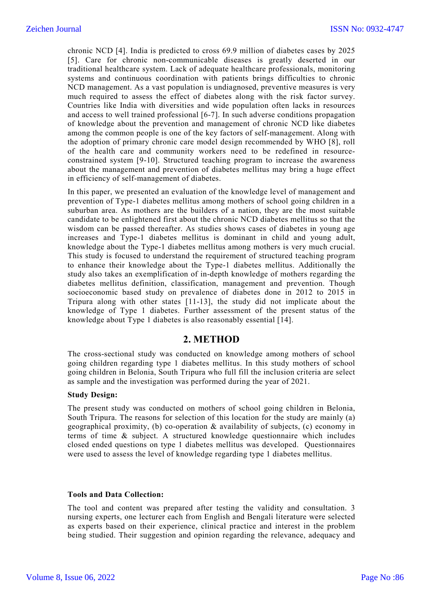chronic NCD [4]. India is predicted to cross 69.9 million of diabetes cases by 2025 [5]. Care for chronic non-communicable diseases is greatly deserted in our traditional healthcare system. Lack of adequate healthcare professionals, monitoring systems and continuous coordination with patients brings difficulties to chronic NCD management. As a vast population is undiagnosed, preventive measures is very much required to assess the effect of diabetes along with the risk factor survey. Countries like India with diversities and wide population often lacks in resources and access to well trained professional [6-7]. In such adverse conditions propagation of knowledge about the prevention and management of chronic NCD like diabetes among the common people is one of the key factors of self-management. Along with the adoption of primary chronic care model design recommended by WHO [8], roll of the health care and community workers need to be redefined in resourceconstrained system [9-10]. Structured teaching program to increase the awareness about the management and prevention of diabetes mellitus may bring a huge effect in efficiency of self-management of diabetes.

In this paper, we presented an evaluation of the knowledge level of management and prevention of Type-1 diabetes mellitus among mothers of school going children in a suburban area. As mothers are the builders of a nation, they are the most suitable candidate to be enlightened first about the chronic NCD diabetes mellitus so that the wisdom can be passed thereafter. As studies shows cases of diabetes in young age increases and Type-1 diabetes mellitus is dominant in child and young adult, knowledge about the Type-1 diabetes mellitus among mothers is very much crucial. This study is focused to understand the requirement of structured teaching program to enhance their knowledge about the Type-1 diabetes mellitus. Additionally the study also takes an exemplification of in-depth knowledge of mothers regarding the diabetes mellitus definition, classification, management and prevention. Though socioeconomic based study on prevalence of diabetes done in 2012 to 2015 in Tripura along with other states [11-13], the study did not implicate about the knowledge of Type 1 diabetes. Further assessment of the present status of the knowledge about Type 1 diabetes is also reasonably essential [14].

### **2. METHOD**

The cross-sectional study was conducted on knowledge among mothers of school going children regarding type 1 diabetes mellitus. In this study mothers of school going children in Belonia, South Tripura who full fill the inclusion criteria are select as sample and the investigation was performed during the year of 2021.

#### **Study Design:**

The present study was conducted on mothers of school going children in Belonia, South Tripura. The reasons for selection of this location for the study are mainly (a) geographical proximity, (b) co-operation & availability of subjects, (c) economy in terms of time & subject. A structured knowledge questionnaire which includes closed ended questions on type 1 diabetes mellitus was developed. Questionnaires were used to assess the level of knowledge regarding type 1 diabetes mellitus.

#### **Tools and Data Collection:**

The tool and content was prepared after testing the validity and consultation. 3 nursing experts, one lecturer each from English and Bengali literature were selected as experts based on their experience, clinical practice and interest in the problem being studied. Their suggestion and opinion regarding the relevance, adequacy and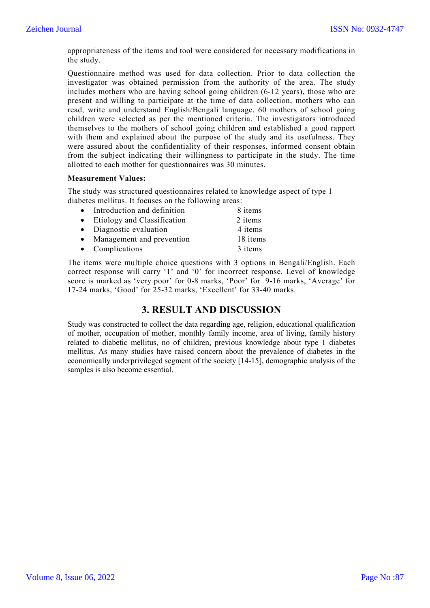appropriateness of the items and tool were considered for necessary modifications in the study.

Questionnaire method was used for data collection. Prior to data collection the investigator was obtained permission from the authority of the area. The study includes mothers who are having school going children (6-12 years), those who are present and willing to participate at the time of data collection, mothers who can read, write and understand English/Bengali language. 60 mothers of school going children were selected as per the mentioned criteria. The investigators introduced themselves to the mothers of school going children and established a good rapport with them and explained about the purpose of the study and its usefulness. They were assured about the confidentiality of their responses, informed consent obtain from the subject indicating their willingness to participate in the study. The time allotted to each mother for questionnaires was 30 minutes.

#### **Measurement Values:**

The study was structured questionnaires related to knowledge aspect of type 1 diabetes mellitus. It focuses on the following areas:

| • Introduction and definition | 8 items  |
|-------------------------------|----------|
| • Etiology and Classification | 2 items  |
| • Diagnostic evaluation       | 4 items  |
| • Management and prevention   | 18 items |
| • Complications               | 3 items  |

The items were multiple choice questions with 3 options in Bengali/English. Each correct response will carry '1' and '0' for incorrect response. Level of knowledge score is marked as 'very poor' for 0-8 marks, 'Poor' for 9-16 marks, 'Average' for 17-24 marks, 'Good' for 25-32 marks, 'Excellent' for 33-40 marks.

## **3. RESULT AND DISCUSSION**

Study was constructed to collect the data regarding age, religion, educational qualification of mother, occupation of mother, monthly family income, area of living, family history related to diabetic mellitus, no of children, previous knowledge about type 1 diabetes mellitus. As many studies have raised concern about the prevalence of diabetes in the economically underprivileged segment of the society [14-15], demographic analysis of the samples is also become essential.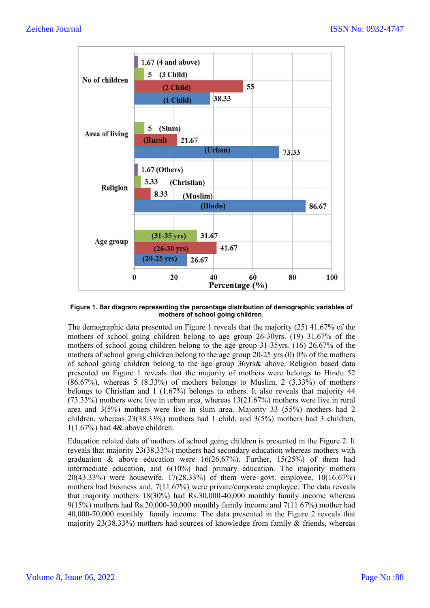

#### **Figure 1. Bar diagram representing the percentage distribution of demographic variables of mothers of school going children**.

The demographic data presented on Figure 1 reveals that the majority (25) 41.67% of the mothers of school going children belong to age group 26-30yrs. (19) 31.67% of the mothers of school going children belong to the age group 31-35yrs. (16) 26.67% of the mothers of school going children belong to the age group 20-25 yrs.(0) 0% of the mothers of school going children belong to the age group 36yrs& above. Religion based data presented on Figure 1 reveals that the majority of mothers were belongs to Hindu 52 (86.67%), whereas 5 (8.33%) of mothers belongs to Muslim, 2 (3.33%) of mothers belongs to Christian and 1 (1.67%) belongs to others. It also reveals that majority 44 (73.33%) mothers were live in urban area, whereas 13(21.67%) mothers were live in rural area and 3(5%) mothers were live in slum area. Majority 33 (55%) mothers had 2 children, whereas 23(38.33%) mothers had 1 child, and 3(5%) mothers had 3 children, 1(1.67%) had 4& above children.

Education related data of mothers of school going children is presented in the Figure 2. It reveals that majority 23(38.33%) mothers had secondary education whereas mothers with graduation & above education were 16(26.67%). Further, 15(25%) of them had intermediate education, and 6(10%) had primary education. The majority mothers 20(43.33%) were housewife. 17(28.33%) of them were govt. employee, 10(16.67%) mothers had business and, 7(11.67%) were private/corporate employee. The data reveals that majority mothers 18(30%) had Rs.30,000-40,000 monthly family income whereas 9(15%) mothers had Rs.20,000-30,000 monthly family income and 7(11.67%) mother had 40,000-70,000 monthly family income. The data presented in the Figure 2 reveals that majority 23(38.33%) mothers had sources of knowledge from family & friends, whereas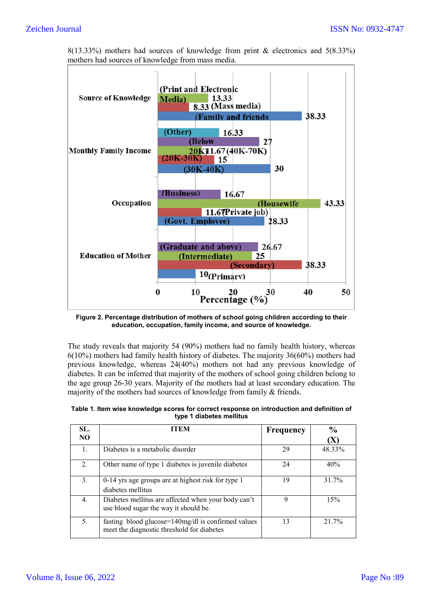

8(13.33%) mothers had sources of knowledge from print & electronics and 5(8.33%) mothers had sources of knowledge from mass media.

**Figure 2. Percentage distribution of mothers of school going children according to their education, occupation, family income, and source of knowledge.**

The study reveals that majority 54 (90%) mothers had no family health history, whereas 6(10%) mothers had family health history of diabetes. The majority 36(60%) mothers had previous knowledge, whereas 24(40%) mothers not had any previous knowledge of diabetes. It can be inferred that majority of the mothers of school going children belong to the age group 26-30 years. Majority of the mothers had at least secondary education. The majority of the mothers had sources of knowledge from family & friends.

**Table 1. Item wise knowledge scores for correct response on introduction and definition of type 1 diabetes mellitus**

| SL. | <b>ITEM</b>                                                                                      | <b>Frequency</b> | $\frac{0}{0}$ |
|-----|--------------------------------------------------------------------------------------------------|------------------|---------------|
| NO. |                                                                                                  |                  | 'X            |
| 1.  | Diabetes is a metabolic disorder                                                                 | 29               | 48.33%        |
| 2.  | Other name of type 1 diabetes is juvenile diabetes                                               | 24               | 40%           |
| 3.  | 0-14 yrs age groups are at highest risk for type 1<br>diabetes mellitus                          | 19               | 31.7%         |
| 4.  | Diabetes mellitus are affected when your body can't<br>use blood sugar the way it should be.     | 9                | 15%           |
| 5.  | fasting blood glucose=140mg/dl is confirmed values<br>meet the diagnostic threshold for diabetes | 13               | 21.7%         |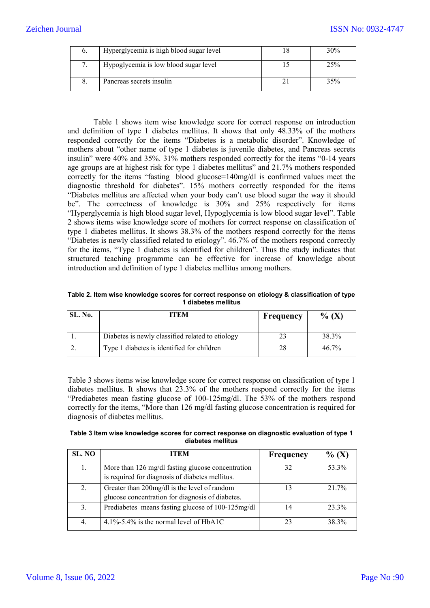| o. | Hyperglycemia is high blood sugar level | 30% |
|----|-----------------------------------------|-----|
|    | Hypoglycemia is low blood sugar level   | 25% |
|    | Pancreas secrets insulin                | 35% |

Table 1 shows item wise knowledge score for correct response on introduction and definition of type 1 diabetes mellitus. It shows that only 48.33% of the mothers responded correctly for the items "Diabetes is a metabolic disorder". Knowledge of mothers about "other name of type 1 diabetes is juvenile diabetes, and Pancreas secrets insulin" were 40% and 35%. 31% mothers responded correctly for the items "0-14 years age groups are at highest risk for type 1 diabetes mellitus" and 21.7% mothers responded correctly for the items "fasting blood glucose=140mg/dl is confirmed values meet the diagnostic threshold for diabetes". 15% mothers correctly responded for the items "Diabetes mellitus are affected when your body can't use blood sugar the way it should be". The correctness of knowledge is 30% and 25% respectively for items "Hyperglycemia is high blood sugar level, Hypoglycemia is low blood sugar level". Table 2 shows items wise knowledge score of mothers for correct response on classification of type 1 diabetes mellitus. It shows 38.3% of the mothers respond correctly for the items "Diabetes is newly classified related to etiology". 46.7% of the mothers respond correctly for the items, "Type 1 diabetes is identified for children". Thus the study indicates that structured teaching programme can be effective for increase of knowledge about introduction and definition of type 1 diabetes mellitus among mothers.

**Table 2. Item wise knowledge scores for correct response on etiology & classification of type 1 diabetes mellitus**

| SL. No. | <b>ITEM</b>                                      | Frequency | $\%$ (X) |
|---------|--------------------------------------------------|-----------|----------|
|         | Diabetes is newly classified related to etiology |           | 38.3%    |
|         | Type 1 diabetes is identified for children       | 28        | $46.7\%$ |

Table 3 shows items wise knowledge score for correct response on classification of type 1 diabetes mellitus. It shows that 23.3% of the mothers respond correctly for the items "Prediabetes mean fasting glucose of 100-125mg/dl. The 53% of the mothers respond correctly for the items, "More than 126 mg/dl fasting glucose concentration is required for diagnosis of diabetes mellitus.

**Table 3 Item wise knowledge scores for correct response on diagnostic evaluation of type 1 diabetes mellitus**

| SL. NO | ITEM                                                                                                 | <b>Frequency</b> | $\%$ (X |
|--------|------------------------------------------------------------------------------------------------------|------------------|---------|
|        | More than 126 mg/dl fasting glucose concentration<br>is required for diagnosis of diabetes mellitus. | 32               | 53.3%   |
| 2.     | Greater than 200mg/dl is the level of random<br>glucose concentration for diagnosis of diabetes.     |                  | 21.7%   |
| 3.     | Prediabetes means fasting glucose of 100-125mg/dl                                                    | 14               | 23.3%   |
|        | 4.1%-5.4% is the normal level of $HbA1C$                                                             |                  | 38.3%   |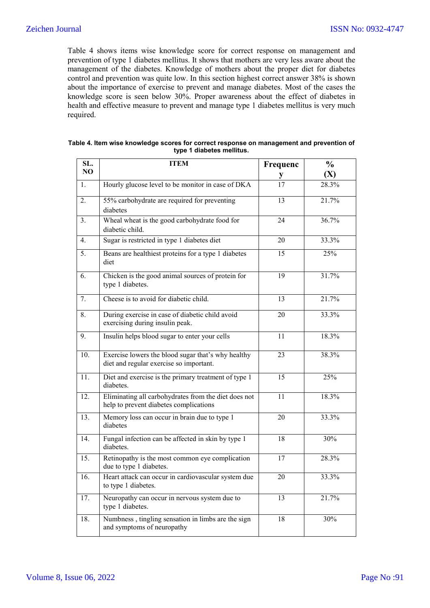Table 4 shows items wise knowledge score for correct response on management and prevention of type 1 diabetes mellitus. It shows that mothers are very less aware about the management of the diabetes. Knowledge of mothers about the proper diet for diabetes control and prevention was quite low. In this section highest correct answer 38% is shown about the importance of exercise to prevent and manage diabetes. Most of the cases the knowledge score is seen below 30%. Proper awareness about the effect of diabetes in health and effective measure to prevent and manage type 1 diabetes mellitus is very much required.

| SL.               | <b>ITEM</b>                                                                                    | Frequenc        | $\frac{0}{0}$ |
|-------------------|------------------------------------------------------------------------------------------------|-----------------|---------------|
| NO                |                                                                                                | ${\bf y}$       | (X)           |
| 1.                | Hourly glucose level to be monitor in case of DKA                                              | $\overline{17}$ | 28.3%         |
| $\overline{2}$ .  | 55% carbohydrate are required for preventing<br>diabetes                                       | $\overline{13}$ | 21.7%         |
| 3.                | Wheal wheat is the good carbohydrate food for<br>diabetic child.                               | 24              | 36.7%         |
| 4.                | Sugar is restricted in type 1 diabetes diet                                                    | $\overline{20}$ | 33.3%         |
| 5.                | Beans are healthiest proteins for a type 1 diabetes<br>diet                                    | 15              | 25%           |
| 6.                | Chicken is the good animal sources of protein for<br>type 1 diabetes.                          | 19              | 31.7%         |
| 7.                | Cheese is to avoid for diabetic child.                                                         | 13              | 21.7%         |
| 8.                | During exercise in case of diabetic child avoid<br>exercising during insulin peak.             | 20              | 33.3%         |
| $\overline{9}$ .  | Insulin helps blood sugar to enter your cells                                                  | 11              | 18.3%         |
| 10.               | Exercise lowers the blood sugar that's why healthy<br>diet and regular exercise so important.  | 23              | 38.3%         |
| $\overline{11}$ . | Diet and exercise is the primary treatment of type 1<br>diabetes.                              | $\overline{15}$ | 25%           |
| 12.               | Eliminating all carbohydrates from the diet does not<br>help to prevent diabetes complications | 11              | 18.3%         |
| 13.               | Memory loss can occur in brain due to type 1<br>diabetes                                       | 20              | 33.3%         |
| $\overline{14}$ . | Fungal infection can be affected in skin by type 1<br>diabetes.                                | $\overline{18}$ | 30%           |
| $\overline{15}$ . | Retinopathy is the most common eye complication<br>due to type 1 diabetes.                     | $\overline{17}$ | 28.3%         |
| 16.               | Heart attack can occur in cardiovascular system due<br>to type 1 diabetes.                     | 20              | 33.3%         |
| 17.               | Neuropathy can occur in nervous system due to<br>type 1 diabetes.                              | 13              | 21.7%         |
| 18.               | Numbness, tingling sensation in limbs are the sign<br>and symptoms of neuropathy               | 18              | 30%           |

#### **Table 4. Item wise knowledge scores for correct response on management and prevention of type 1 diabetes mellitus.**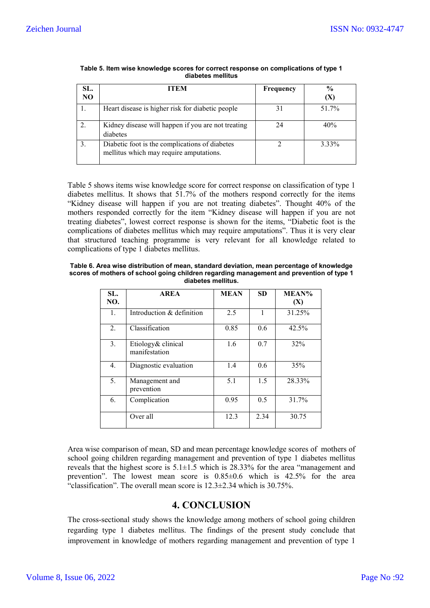| SL. | ITEM                                                                                      | <b>Frequency</b> | $\frac{6}{9}$ |
|-----|-------------------------------------------------------------------------------------------|------------------|---------------|
| NO. |                                                                                           |                  | (X)           |
|     | Heart disease is higher risk for diabetic people                                          | 31               | 51.7%         |
|     | Kidney disease will happen if you are not treating<br>diabetes                            | 24               | 40%           |
| 3.  | Diabetic foot is the complications of diabetes<br>mellitus which may require amputations. |                  | 3.33%         |

**Table 5. Item wise knowledge scores for correct response on complications of type 1 diabetes mellitus**

Table 5 shows items wise knowledge score for correct response on classification of type 1 diabetes mellitus. It shows that 51.7% of the mothers respond correctly for the items "Kidney disease will happen if you are not treating diabetes". Thought 40% of the mothers responded correctly for the item "Kidney disease will happen if you are not treating diabetes", lowest correct response is shown for the items, "Diabetic foot is the complications of diabetes mellitus which may require amputations". Thus it is very clear that structured teaching programme is very relevant for all knowledge related to complications of type 1 diabetes mellitus.

| Table 6. Area wise distribution of mean, standard deviation, mean percentage of knowledge |
|-------------------------------------------------------------------------------------------|
| scores of mothers of school going children regarding management and prevention of type 1  |
| diabetes mellitus.                                                                        |

| SL.<br>NO. | <b>AREA</b>                         | <b>MEAN</b> | <b>SD</b> | MEAN%<br>(X) |
|------------|-------------------------------------|-------------|-----------|--------------|
| 1.         | Introduction & definition           | 2.5         | 1         | 31.25%       |
| 2.         | Classification                      | 0.85        | 0.6       | 42.5%        |
| 3.         | Etiology& clinical<br>manifestation | 1.6         | 0.7       | 32%          |
| 4.         | Diagnostic evaluation               | 1.4         | 0.6       | 35%          |
| 5.         | Management and<br>prevention        | 5.1         | 1.5       | 28.33%       |
| 6.         | Complication                        | 0.95        | 0.5       | 31.7%        |
|            | Over all                            | 12.3        | 2.34      | 30.75        |

Area wise comparison of mean, SD and mean percentage knowledge scores of mothers of school going children regarding management and prevention of type 1 diabetes mellitus reveals that the highest score is 5.1±1.5 which is 28.33% for the area "management and prevention". The lowest mean score is 0.85±0.6 which is 42.5% for the area "classification". The overall mean score is  $12.3 \pm 2.34$  which is  $30.75\%$ .

## **4. CONCLUSION**

The cross-sectional study shows the knowledge among mothers of school going children regarding type 1 diabetes mellitus. The findings of the present study conclude that improvement in knowledge of mothers regarding management and prevention of type 1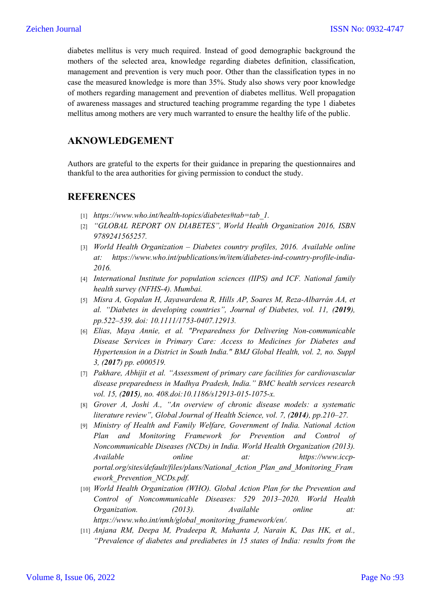diabetes mellitus is very much required. Instead of good demographic background the mothers of the selected area, knowledge regarding diabetes definition, classification, management and prevention is very much poor. Other than the classification types in no case the measured knowledge is more than 35%. Study also shows very poor knowledge of mothers regarding management and prevention of diabetes mellitus. Well propagation of awareness massages and structured teaching programme regarding the type 1 diabetes mellitus among mothers are very much warranted to ensure the healthy life of the public.

## **AKNOWLEDGEMENT**

Authors are grateful to the experts for their guidance in preparing the questionnaires and thankful to the area authorities for giving permission to conduct the study.

## **REFERENCES**

- [1] *https://www.who.int/health-topics/diabetes#tab=tab\_1.*
- [2] *"GLOBAL REPORT ON DIABETES", World Health Organization 2016, ISBN 9789241565257.*
- [3] *World Health Organization – Diabetes country profiles, 2016. Available online at: https://www.who.int/publications/m/item/diabetes-ind-country-profile-india-2016.*
- [4] *International Institute for population sciences (IIPS) and ICF. National family health survey (NFHS-4). Mumbai.*
- [5] *Misra A, Gopalan H, Jayawardena R, Hills AP, Soares M, Reza-Albarrán AA, et al. "Diabetes in developing countries", Journal of Diabetes, vol. 11, (2019), pp.522–539. doi: 10.1111/1753-0407.12913.*
- [6] *Elias, Maya Annie, et al. "Preparedness for Delivering Non-communicable Disease Services in Primary Care: Access to Medicines for Diabetes and Hypertension in a District in South India." BMJ Global Health, vol. 2, no. Suppl 3, (2017) pp. e000519.*
- [7] *Pakhare, Abhijit et al. "Assessment of primary care facilities for cardiovascular disease preparedness in Madhya Pradesh, India." BMC health services research vol. 15, (2015), no. 408.doi:10.1186/s12913-015-1075-x.*
- [8] *Grover A, Joshi A., "An overview of chronic disease models: a systematic literature review", Global Journal of Health Science, vol. 7, (2014), pp.210–27.*
- [9] *Ministry of Health and Family Welfare, Government of India. National Action Plan and Monitoring Framework for Prevention and Control of Noncommunicable Diseases (NCDs) in India. World Health Organization (2013). Available online at: https://www.iccpportal.org/sites/default/files/plans/National\_Action\_Plan\_and\_Monitoring\_Fram ework\_Prevention\_NCDs.pdf.*
- [10] *World Health Organization (WHO). Global Action Plan for the Prevention and Control of Noncommunicable Diseases: 529 2013–2020. World Health Organization. (2013). Available online at: https://www.who.int/nmh/global\_monitoring\_framework/en/.*
- [11] *Anjana RM, Deepa M, Pradeepa R, Mahanta J, Narain K, Das HK, et al., "Prevalence of diabetes and prediabetes in 15 states of India: results from the*